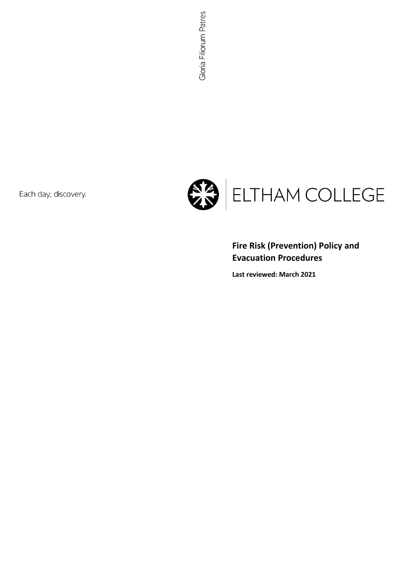Each day, discovery.



# **Fire Risk (Prevention) Policy and Evacuation Procedures**

**Last reviewed: March 2021**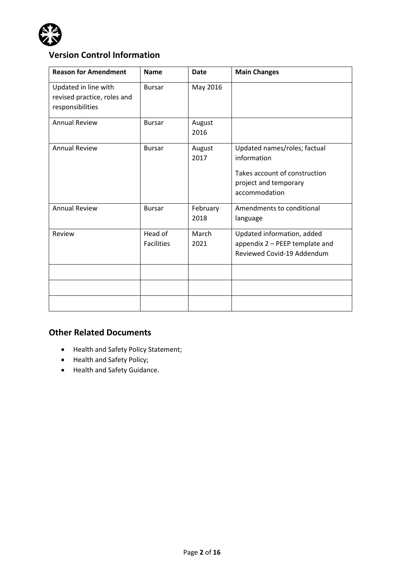

# **Version Control Information**

| <b>Reason for Amendment</b>                                             | <b>Name</b>                  | <b>Date</b>      | <b>Main Changes</b>                                                                                                    |
|-------------------------------------------------------------------------|------------------------------|------------------|------------------------------------------------------------------------------------------------------------------------|
| Updated in line with<br>revised practice, roles and<br>responsibilities | <b>Bursar</b>                | May 2016         |                                                                                                                        |
| <b>Annual Review</b>                                                    | <b>Bursar</b>                | August<br>2016   |                                                                                                                        |
| <b>Annual Review</b>                                                    | <b>Bursar</b>                | August<br>2017   | Updated names/roles; factual<br>information<br>Takes account of construction<br>project and temporary<br>accommodation |
| <b>Annual Review</b>                                                    | <b>Bursar</b>                | February<br>2018 | Amendments to conditional<br>language                                                                                  |
| Review                                                                  | Head of<br><b>Facilities</b> | March<br>2021    | Updated information, added<br>appendix 2 - PEEP template and<br>Reviewed Covid-19 Addendum                             |
|                                                                         |                              |                  |                                                                                                                        |

# **Other Related Documents**

- Health and Safety Policy Statement;
- Health and Safety Policy;
- Health and Safety Guidance.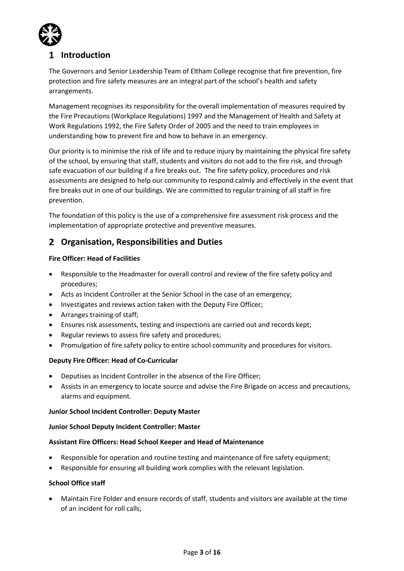

# **Introduction**

The Governors and Senior Leadership Team of Eltham College recognise that fire prevention, fire protection and fire safety measures are an integral part of the school's health and safety arrangements.

Management recognises its responsibility for the overall implementation of measures required by the Fire Precautions (Workplace Regulations) 1997 and the Management of Health and Safety at Work Regulations 1992, the Fire Safety Order of 2005 and the need to train employees in understanding how to prevent fire and how to behave in an emergency.

Our priority is to minimise the risk of life and to reduce injury by maintaining the physical fire safety of the school, by ensuring that staff, students and visitors do not add to the fire risk, and through safe evacuation of our building if a fire breaks out. The fire safety policy, procedures and risk assessments are designed to help our community to respond calmly and effectively in the event that fire breaks out in one of our buildings. We are committed to regular training of all staff in fire prevention.

The foundation of this policy is the use of a comprehensive fire assessment risk process and the implementation of appropriate protective and preventive measures.

# **Organisation, Responsibilities and Duties**

## **Fire Officer: Head of Facilities**

- Responsible to the Headmaster for overall control and review of the fire safety policy and procedures;
- Acts as Incident Controller at the Senior School in the case of an emergency;
- Investigates and reviews action taken with the Deputy Fire Officer;
- Arranges training of staff;
- Ensures risk assessments, testing and inspections are carried out and records kept;
- Regular reviews to assess fire safety and procedures;
- Promulgation of fire safety policy to entire school community and procedures for visitors.

## **Deputy Fire Officer: Head of Co-Curricular**

- Deputises as Incident Controller in the absence of the Fire Officer;
- Assists in an emergency to locate source and advise the Fire Brigade on access and precautions, alarms and equipment.

#### **Junior School Incident Controller: Deputy Master**

#### **Junior School Deputy Incident Controller: Master**

#### **Assistant Fire Officers: Head School Keeper and Head of Maintenance**

- Responsible for operation and routine testing and maintenance of fire safety equipment;
- Responsible for ensuring all building work complies with the relevant legislation.

#### **School Office staff**

• Maintain Fire Folder and ensure records of staff, students and visitors are available at the time of an incident for roll calls;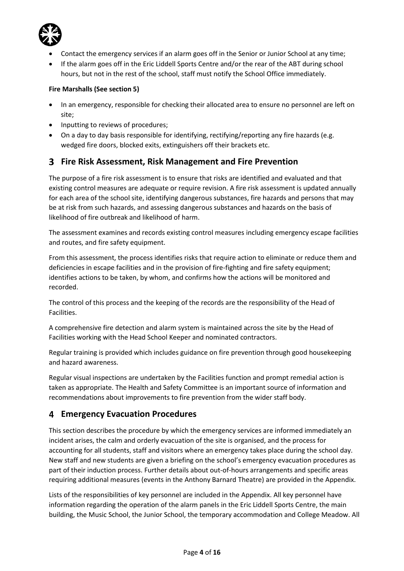

- Contact the emergency services if an alarm goes off in the Senior or Junior School at any time;
- If the alarm goes off in the Eric Liddell Sports Centre and/or the rear of the ABT during school hours, but not in the rest of the school, staff must notify the School Office immediately.

## **Fire Marshalls (See section 5)**

- In an emergency, responsible for checking their allocated area to ensure no personnel are left on site;
- Inputting to reviews of procedures;
- On a day to day basis responsible for identifying, rectifying/reporting any fire hazards (e.g. wedged fire doors, blocked exits, extinguishers off their brackets etc.

# **Fire Risk Assessment, Risk Management and Fire Prevention**

The purpose of a fire risk assessment is to ensure that risks are identified and evaluated and that existing control measures are adequate or require revision. A fire risk assessment is updated annually for each area of the school site, identifying dangerous substances, fire hazards and persons that may be at risk from such hazards, and assessing dangerous substances and hazards on the basis of likelihood of fire outbreak and likelihood of harm.

The assessment examines and records existing control measures including emergency escape facilities and routes, and fire safety equipment.

From this assessment, the process identifies risks that require action to eliminate or reduce them and deficiencies in escape facilities and in the provision of fire-fighting and fire safety equipment; identifies actions to be taken, by whom, and confirms how the actions will be monitored and recorded.

The control of this process and the keeping of the records are the responsibility of the Head of Facilities.

A comprehensive fire detection and alarm system is maintained across the site by the Head of Facilities working with the Head School Keeper and nominated contractors.

Regular training is provided which includes guidance on fire prevention through good housekeeping and hazard awareness.

Regular visual inspections are undertaken by the Facilities function and prompt remedial action is taken as appropriate. The Health and Safety Committee is an important source of information and recommendations about improvements to fire prevention from the wider staff body.

# **Emergency Evacuation Procedures**

This section describes the procedure by which the emergency services are informed immediately an incident arises, the calm and orderly evacuation of the site is organised, and the process for accounting for all students, staff and visitors where an emergency takes place during the school day. New staff and new students are given a briefing on the school's emergency evacuation procedures as part of their induction process. Further details about out-of-hours arrangements and specific areas requiring additional measures (events in the Anthony Barnard Theatre) are provided in the Appendix.

Lists of the responsibilities of key personnel are included in the Appendix. All key personnel have information regarding the operation of the alarm panels in the Eric Liddell Sports Centre, the main building, the Music School, the Junior School, the temporary accommodation and College Meadow. All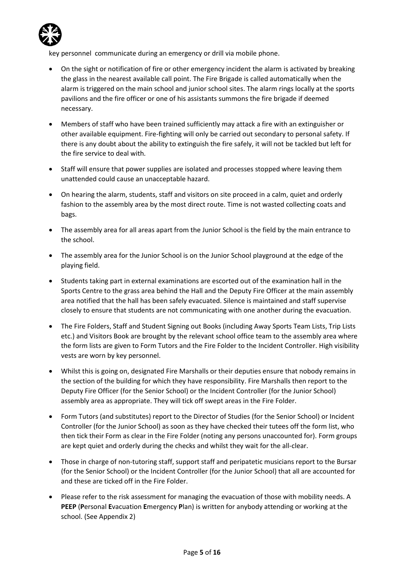

key personnel communicate during an emergency or drill via mobile phone.

- On the sight or notification of fire or other emergency incident the alarm is activated by breaking the glass in the nearest available call point. The Fire Brigade is called automatically when the alarm is triggered on the main school and junior school sites. The alarm rings locally at the sports pavilions and the fire officer or one of his assistants summons the fire brigade if deemed necessary.
- Members of staff who have been trained sufficiently may attack a fire with an extinguisher or other available equipment. Fire-fighting will only be carried out secondary to personal safety. If there is any doubt about the ability to extinguish the fire safely, it will not be tackled but left for the fire service to deal with.
- Staff will ensure that power supplies are isolated and processes stopped where leaving them unattended could cause an unacceptable hazard.
- On hearing the alarm, students, staff and visitors on site proceed in a calm, quiet and orderly fashion to the assembly area by the most direct route. Time is not wasted collecting coats and bags.
- The assembly area for all areas apart from the Junior School is the field by the main entrance to the school.
- The assembly area for the Junior School is on the Junior School playground at the edge of the playing field.
- Students taking part in external examinations are escorted out of the examination hall in the Sports Centre to the grass area behind the Hall and the Deputy Fire Officer at the main assembly area notified that the hall has been safely evacuated. Silence is maintained and staff supervise closely to ensure that students are not communicating with one another during the evacuation.
- The Fire Folders, Staff and Student Signing out Books (including Away Sports Team Lists, Trip Lists etc.) and Visitors Book are brought by the relevant school office team to the assembly area where the form lists are given to Form Tutors and the Fire Folder to the Incident Controller. High visibility vests are worn by key personnel.
- Whilst this is going on, designated Fire Marshalls or their deputies ensure that nobody remains in the section of the building for which they have responsibility. Fire Marshalls then report to the Deputy Fire Officer (for the Senior School) or the Incident Controller (for the Junior School) assembly area as appropriate. They will tick off swept areas in the Fire Folder.
- Form Tutors (and substitutes) report to the Director of Studies (for the Senior School) or Incident Controller (for the Junior School) as soon as they have checked their tutees off the form list, who then tick their Form as clear in the Fire Folder (noting any persons unaccounted for). Form groups are kept quiet and orderly during the checks and whilst they wait for the all-clear.
- Those in charge of non-tutoring staff, support staff and peripatetic musicians report to the Bursar (for the Senior School) or the Incident Controller (for the Junior School) that all are accounted for and these are ticked off in the Fire Folder.
- Please refer to the risk assessment for managing the evacuation of those with mobility needs. A **PEEP** (**P**ersonal **E**vacuation **E**mergency **P**lan) is written for anybody attending or working at the school. (See Appendix 2)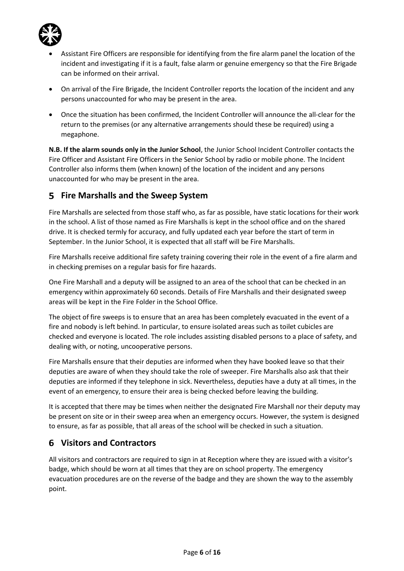

- Assistant Fire Officers are responsible for identifying from the fire alarm panel the location of the incident and investigating if it is a fault, false alarm or genuine emergency so that the Fire Brigade can be informed on their arrival.
- On arrival of the Fire Brigade, the Incident Controller reports the location of the incident and any persons unaccounted for who may be present in the area.
- Once the situation has been confirmed, the Incident Controller will announce the all-clear for the return to the premises (or any alternative arrangements should these be required) using a megaphone.

**N.B. If the alarm sounds only in the Junior School**, the Junior School Incident Controller contacts the Fire Officer and Assistant Fire Officers in the Senior School by radio or mobile phone. The Incident Controller also informs them (when known) of the location of the incident and any persons unaccounted for who may be present in the area.

# **Fire Marshalls and the Sweep System**

Fire Marshalls are selected from those staff who, as far as possible, have static locations for their work in the school. A list of those named as Fire Marshalls is kept in the school office and on the shared drive. It is checked termly for accuracy, and fully updated each year before the start of term in September. In the Junior School, it is expected that all staff will be Fire Marshalls.

Fire Marshalls receive additional fire safety training covering their role in the event of a fire alarm and in checking premises on a regular basis for fire hazards.

One Fire Marshall and a deputy will be assigned to an area of the school that can be checked in an emergency within approximately 60 seconds. Details of Fire Marshalls and their designated sweep areas will be kept in the Fire Folder in the School Office.

The object of fire sweeps is to ensure that an area has been completely evacuated in the event of a fire and nobody is left behind. In particular, to ensure isolated areas such as toilet cubicles are checked and everyone is located. The role includes assisting disabled persons to a place of safety, and dealing with, or noting, uncooperative persons.

Fire Marshalls ensure that their deputies are informed when they have booked leave so that their deputies are aware of when they should take the role of sweeper. Fire Marshalls also ask that their deputies are informed if they telephone in sick. Nevertheless, deputies have a duty at all times, in the event of an emergency, to ensure their area is being checked before leaving the building.

It is accepted that there may be times when neither the designated Fire Marshall nor their deputy may be present on site or in their sweep area when an emergency occurs. However, the system is designed to ensure, as far as possible, that all areas of the school will be checked in such a situation.

# **Visitors and Contractors**

All visitors and contractors are required to sign in at Reception where they are issued with a visitor's badge, which should be worn at all times that they are on school property. The emergency evacuation procedures are on the reverse of the badge and they are shown the way to the assembly point.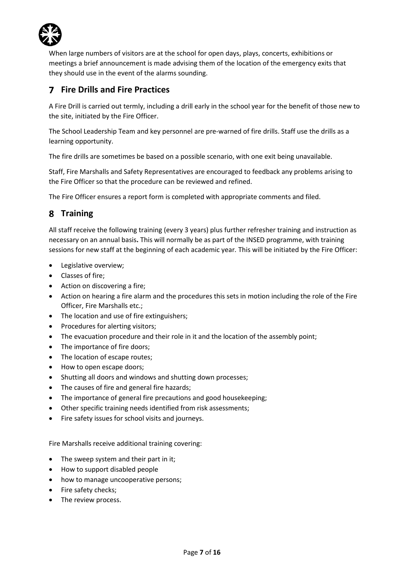

When large numbers of visitors are at the school for open days, plays, concerts, exhibitions or meetings a brief announcement is made advising them of the location of the emergency exits that they should use in the event of the alarms sounding.

# **Fire Drills and Fire Practices**

A Fire Drill is carried out termly, including a drill early in the school year for the benefit of those new to the site, initiated by the Fire Officer.

The School Leadership Team and key personnel are pre-warned of fire drills. Staff use the drills as a learning opportunity.

The fire drills are sometimes be based on a possible scenario, with one exit being unavailable.

Staff, Fire Marshalls and Safety Representatives are encouraged to feedback any problems arising to the Fire Officer so that the procedure can be reviewed and refined.

The Fire Officer ensures a report form is completed with appropriate comments and filed.

# **Training**

All staff receive the following training (every 3 years) plus further refresher training and instruction as necessary on an annual basis**.** This will normally be as part of the INSED programme, with training sessions for new staff at the beginning of each academic year*.* This will be initiated by the Fire Officer:

- Legislative overview;
- Classes of fire;
- Action on discovering a fire;
- Action on hearing a fire alarm and the procedures this sets in motion including the role of the Fire Officer, Fire Marshalls etc.;
- The location and use of fire extinguishers:
- Procedures for alerting visitors;
- The evacuation procedure and their role in it and the location of the assembly point;
- The importance of fire doors;
- The location of escape routes;
- How to open escape doors;
- Shutting all doors and windows and shutting down processes;
- The causes of fire and general fire hazards;
- The importance of general fire precautions and good housekeeping;
- Other specific training needs identified from risk assessments;
- Fire safety issues for school visits and journeys.

Fire Marshalls receive additional training covering:

- The sweep system and their part in it;
- How to support disabled people
- how to manage uncooperative persons;
- Fire safety checks;
- The review process.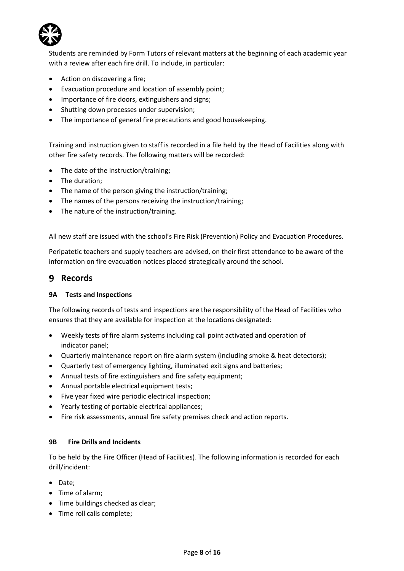

Students are reminded by Form Tutors of relevant matters at the beginning of each academic year with a review after each fire drill. To include, in particular:

- Action on discovering a fire;
- Evacuation procedure and location of assembly point;
- Importance of fire doors, extinguishers and signs;
- Shutting down processes under supervision;
- The importance of general fire precautions and good housekeeping.

Training and instruction given to staff is recorded in a file held by the Head of Facilities along with other fire safety records. The following matters will be recorded:

- The date of the instruction/training;
- The duration;
- The name of the person giving the instruction/training;
- The names of the persons receiving the instruction/training;
- The nature of the instruction/training.

All new staff are issued with the school's Fire Risk (Prevention) Policy and Evacuation Procedures.

Peripatetic teachers and supply teachers are advised, on their first attendance to be aware of the information on fire evacuation notices placed strategically around the school.

## **Records**

#### **9A Tests and Inspections**

The following records of tests and inspections are the responsibility of the Head of Facilities who ensures that they are available for inspection at the locations designated:

- Weekly tests of fire alarm systems including call point activated and operation of indicator panel;
- Quarterly maintenance report on fire alarm system (including smoke & heat detectors);
- Quarterly test of emergency lighting, illuminated exit signs and batteries;
- Annual tests of fire extinguishers and fire safety equipment;
- Annual portable electrical equipment tests;
- Five year fixed wire periodic electrical inspection;
- Yearly testing of portable electrical appliances;
- Fire risk assessments, annual fire safety premises check and action reports.

## **9B Fire Drills and Incidents**

To be held by the Fire Officer (Head of Facilities). The following information is recorded for each drill/incident:

- Date;
- Time of alarm;
- Time buildings checked as clear;
- Time roll calls complete;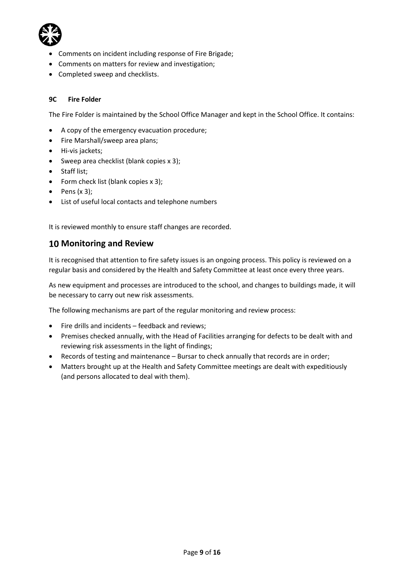

- Comments on incident including response of Fire Brigade;
- Comments on matters for review and investigation;
- Completed sweep and checklists.

## **9C Fire Folder**

The Fire Folder is maintained by the School Office Manager and kept in the School Office. It contains:

- A copy of the emergency evacuation procedure;
- Fire Marshall/sweep area plans;
- Hi-vis jackets;
- Sweep area checklist (blank copies x 3);
- Staff list;
- Form check list (blank copies x 3);
- $\bullet$  Pens (x 3);
- List of useful local contacts and telephone numbers

It is reviewed monthly to ensure staff changes are recorded.

## **Monitoring and Review**

It is recognised that attention to fire safety issues is an ongoing process. This policy is reviewed on a regular basis and considered by the Health and Safety Committee at least once every three years.

As new equipment and processes are introduced to the school, and changes to buildings made, it will be necessary to carry out new risk assessments.

The following mechanisms are part of the regular monitoring and review process:

- Fire drills and incidents feedback and reviews;
- Premises checked annually, with the Head of Facilities arranging for defects to be dealt with and reviewing risk assessments in the light of findings;
- Records of testing and maintenance Bursar to check annually that records are in order;
- Matters brought up at the Health and Safety Committee meetings are dealt with expeditiously (and persons allocated to deal with them).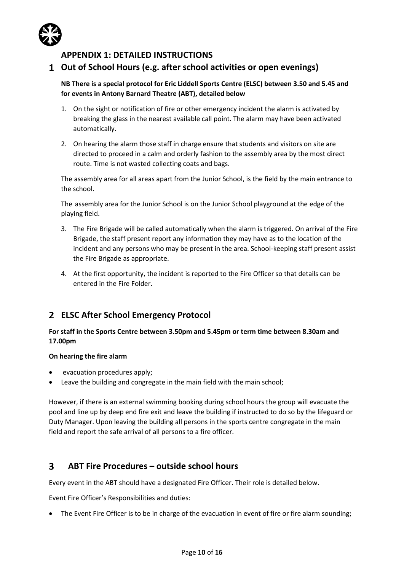

## **APPENDIX 1: DETAILED INSTRUCTIONS**

## **Out of School Hours (e.g. after school activities or open evenings)**

**NB There is a special protocol for Eric Liddell Sports Centre (ELSC) between 3.50 and 5.45 and for events in Antony Barnard Theatre (ABT), detailed below**

- 1. On the sight or notification of fire or other emergency incident the alarm is activated by breaking the glass in the nearest available call point. The alarm may have been activated automatically.
- 2. On hearing the alarm those staff in charge ensure that students and visitors on site are directed to proceed in a calm and orderly fashion to the assembly area by the most direct route. Time is not wasted collecting coats and bags.

The assembly area for all areas apart from the Junior School, is the field by the main entrance to the school.

The assembly area for the Junior School is on the Junior School playground at the edge of the playing field.

- 3. The Fire Brigade will be called automatically when the alarm is triggered. On arrival of the Fire Brigade, the staff present report any information they may have as to the location of the incident and any persons who may be present in the area. School-keeping staff present assist the Fire Brigade as appropriate.
- 4. At the first opportunity, the incident is reported to the Fire Officer so that details can be entered in the Fire Folder.

# **ELSC After School Emergency Protocol**

## **For staff in the Sports Centre between 3.50pm and 5.45pm or term time between 8.30am and 17.00pm**

#### **On hearing the fire alarm**

- evacuation procedures apply;
- Leave the building and congregate in the main field with the main school;

However, if there is an external swimming booking during school hours the group will evacuate the pool and line up by deep end fire exit and leave the building if instructed to do so by the lifeguard or Duty Manager. Upon leaving the building all persons in the sports centre congregate in the main field and report the safe arrival of all persons to a fire officer.

#### $\overline{\mathbf{3}}$ **ABT Fire Procedures – outside school hours**

Every event in the ABT should have a designated Fire Officer. Their role is detailed below.

Event Fire Officer's Responsibilities and duties:

• The Event Fire Officer is to be in charge of the evacuation in event of fire or fire alarm sounding;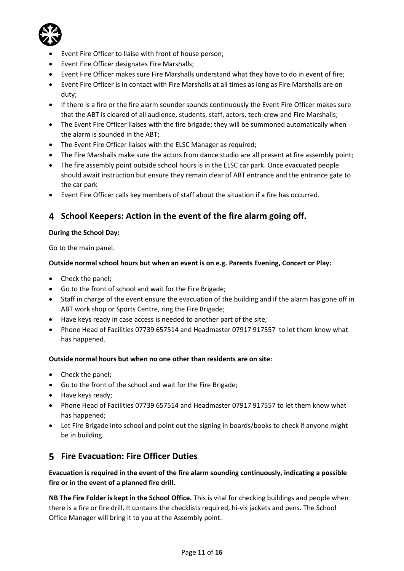

- Event Fire Officer to liaise with front of house person;
- Event Fire Officer designates Fire Marshalls;
- Event Fire Officer makes sure Fire Marshalls understand what they have to do in event of fire;
- Event Fire Officer is in contact with Fire Marshalls at all times as long as Fire Marshalls are on duty;
- If there is a fire or the fire alarm sounder sounds continuously the Event Fire Officer makes sure that the ABT is cleared of all audience, students, staff, actors, tech-crew and Fire Marshalls;
- The Event Fire Officer liaises with the fire brigade; they will be summoned automatically when the alarm is sounded in the ABT;
- The Event Fire Officer liaises with the ELSC Manager as required;
- The Fire Marshalls make sure the actors from dance studio are all present at fire assembly point;
- The fire assembly point outside school hours is in the ELSC car park. Once evacuated people should await instruction but ensure they remain clear of ABT entrance and the entrance gate to the car park
- Event Fire Officer calls key members of staff about the situation if a fire has occurred.

# **School Keepers: Action in the event of the fire alarm going off.**

## **During the School Day:**

Go to the main panel.

## **Outside normal school hours but when an event is on e.g. Parents Evening, Concert or Play:**

- Check the panel;
- Go to the front of school and wait for the Fire Brigade;
- Staff in charge of the event ensure the evacuation of the building and if the alarm has gone off in ABT work shop or Sports Centre, ring the Fire Brigade;
- Have keys ready in case access is needed to another part of the site;
- Phone Head of Facilities 07739 657514 and Headmaster 07917 917557 to let them know what has happened.

## **Outside normal hours but when no one other than residents are on site:**

- Check the panel;
- Go to the front of the school and wait for the Fire Brigade;
- Have keys ready;
- Phone Head of Facilities 07739 657514 and Headmaster 07917 917557 to let them know what has happened;
- Let Fire Brigade into school and point out the signing in boards/books to check if anyone might be in building.

## **Fire Evacuation: Fire Officer Duties**

**Evacuation is required in the event of the fire alarm sounding continuously, indicating a possible fire or in the event of a planned fire drill.**

**NB The Fire Folder is kept in the School Office.** This is vital for checking buildings and people when there is a fire or fire drill. It contains the checklists required, hi-vis jackets and pens. The School Office Manager will bring it to you at the Assembly point.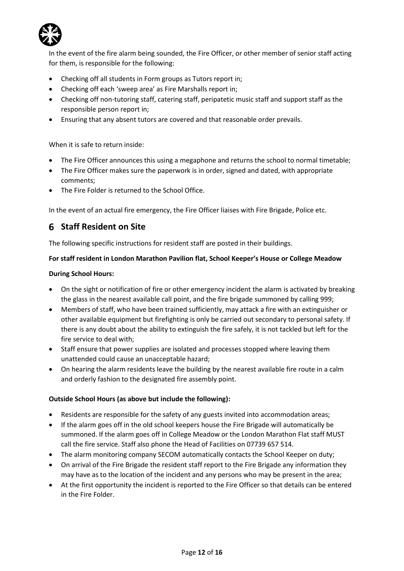

In the event of the fire alarm being sounded, the Fire Officer, or other member of senior staff acting for them, is responsible for the following:

- Checking off all students in Form groups as Tutors report in;
- Checking off each 'sweep area' as Fire Marshalls report in;
- Checking off non-tutoring staff, catering staff, peripatetic music staff and support staff as the responsible person report in;
- Ensuring that any absent tutors are covered and that reasonable order prevails.

When it is safe to return inside:

- The Fire Officer announces this using a megaphone and returns the school to normal timetable;
- The Fire Officer makes sure the paperwork is in order, signed and dated, with appropriate comments;
- The Fire Folder is returned to the School Office.

In the event of an actual fire emergency, the Fire Officer liaises with Fire Brigade, Police etc.

## **Staff Resident on Site**

The following specific instructions for resident staff are posted in their buildings.

## **For staff resident in London Marathon Pavilion flat, School Keeper's House or College Meadow**

#### **During School Hours:**

- On the sight or notification of fire or other emergency incident the alarm is activated by breaking the glass in the nearest available call point, and the fire brigade summoned by calling 999;
- Members of staff, who have been trained sufficiently, may attack a fire with an extinguisher or other available equipment but firefighting is only be carried out secondary to personal safety. If there is any doubt about the ability to extinguish the fire safely, it is not tackled but left for the fire service to deal with;
- Staff ensure that power supplies are isolated and processes stopped where leaving them unattended could cause an unacceptable hazard;
- On hearing the alarm residents leave the building by the nearest available fire route in a calm and orderly fashion to the designated fire assembly point.

#### **Outside School Hours (as above but include the following):**

- Residents are responsible for the safety of any guests invited into accommodation areas;
- If the alarm goes off in the old school keepers house the Fire Brigade will automatically be summoned. If the alarm goes off in College Meadow or the London Marathon Flat staff MUST call the fire service. Staff also phone the Head of Facilities on 07739 657 514.
- The alarm monitoring company SECOM automatically contacts the School Keeper on duty;
- On arrival of the Fire Brigade the resident staff report to the Fire Brigade any information they may have as to the location of the incident and any persons who may be present in the area;
- At the first opportunity the incident is reported to the Fire Officer so that details can be entered in the Fire Folder.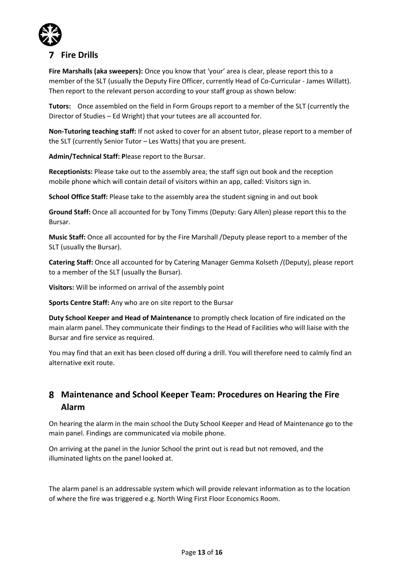

# **Fire Drills**

**Fire Marshalls (aka sweepers):** Once you know that 'your' area is clear, please report this to a member of the SLT (usually the Deputy Fire Officer, currently Head of Co-Curricular - James Willatt). Then report to the relevant person according to your staff group as shown below:

**Tutors:** Once assembled on the field in Form Groups report to a member of the SLT (currently the Director of Studies – Ed Wright) that your tutees are all accounted for.

**Non-Tutoring teaching staff:** If not asked to cover for an absent tutor, please report to a member of the SLT (currently Senior Tutor – Les Watts) that you are present.

**Admin/Technical Staff: P**lease report to the Bursar.

**Receptionists:** Please take out to the assembly area; the staff sign out book and the reception mobile phone which will contain detail of visitors within an app, called: Visitors sign in.

**School Office Staff:** Please take to the assembly area the student signing in and out book

**Ground Staff:** Once all accounted for by Tony Timms (Deputy: Gary Allen) please report this to the Bursar.

**Music Staff:** Once all accounted for by the Fire Marshall /Deputy please report to a member of the SLT (usually the Bursar).

**Catering Staff:** Once all accounted for by Catering Manager Gemma Kolseth /(Deputy), please report to a member of the SLT (usually the Bursar).

**Visitors:** Will be informed on arrival of the assembly point

**Sports Centre Staff:** Any who are on site report to the Bursar

**Duty School Keeper and Head of Maintenance** to promptly check location of fire indicated on the main alarm panel. They communicate their findings to the Head of Facilities who will liaise with the Bursar and fire service as required.

You may find that an exit has been closed off during a drill. You will therefore need to calmly find an alternative exit route.

# **Maintenance and School Keeper Team: Procedures on Hearing the Fire Alarm**

On hearing the alarm in the main school the Duty School Keeper and Head of Maintenance go to the main panel. Findings are communicated via mobile phone.

On arriving at the panel in the Junior School the print out is read but not removed, and the illuminated lights on the panel looked at.

The alarm panel is an addressable system which will provide relevant information as to the location of where the fire was triggered e.g. North Wing First Floor Economics Room.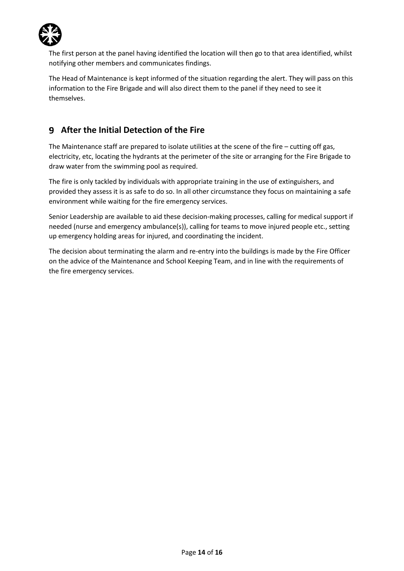

The first person at the panel having identified the location will then go to that area identified, whilst notifying other members and communicates findings.

The Head of Maintenance is kept informed of the situation regarding the alert. They will pass on this information to the Fire Brigade and will also direct them to the panel if they need to see it themselves.

# **After the Initial Detection of the Fire**

The Maintenance staff are prepared to isolate utilities at the scene of the fire – cutting off gas, electricity, etc, locating the hydrants at the perimeter of the site or arranging for the Fire Brigade to draw water from the swimming pool as required.

The fire is only tackled by individuals with appropriate training in the use of extinguishers, and provided they assess it is as safe to do so. In all other circumstance they focus on maintaining a safe environment while waiting for the fire emergency services.

Senior Leadership are available to aid these decision-making processes, calling for medical support if needed (nurse and emergency ambulance(s)), calling for teams to move injured people etc., setting up emergency holding areas for injured, and coordinating the incident.

The decision about terminating the alarm and re-entry into the buildings is made by the Fire Officer on the advice of the Maintenance and School Keeping Team, and in line with the requirements of the fire emergency services.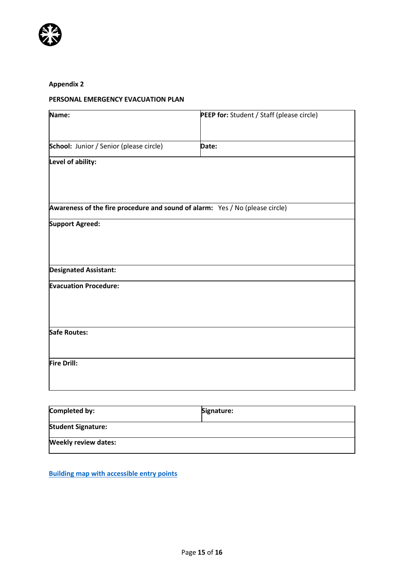

## **Appendix 2**

## **PERSONAL EMERGENCY EVACUATION PLAN**

| Name:                                                                        | PEEP for: Student / Staff (please circle) |
|------------------------------------------------------------------------------|-------------------------------------------|
| School: Junior / Senior (please circle)                                      | Date:                                     |
| Level of ability:                                                            |                                           |
|                                                                              |                                           |
| Awareness of the fire procedure and sound of alarm: Yes / No (please circle) |                                           |
| <b>Support Agreed:</b>                                                       |                                           |
|                                                                              |                                           |
| <b>Designated Assistant:</b>                                                 |                                           |
| <b>Evacuation Procedure:</b>                                                 |                                           |
| Safe Routes:                                                                 |                                           |
| <b>Fire Drill:</b>                                                           |                                           |

| Completed by:               | Signature: |
|-----------------------------|------------|
| <b>Student Signature:</b>   |            |
| <b>Weekly review dates:</b> |            |

**[Building map with accessible entry points](https://elthamcollege.sharepoint.com/:w:/s/ECS-Home/Facilities/ERnbRBBxoUtIg_4CGhf2htMBCG3vlx-jS97TFZkZ2MPmyg?e=Nz6OJu)**